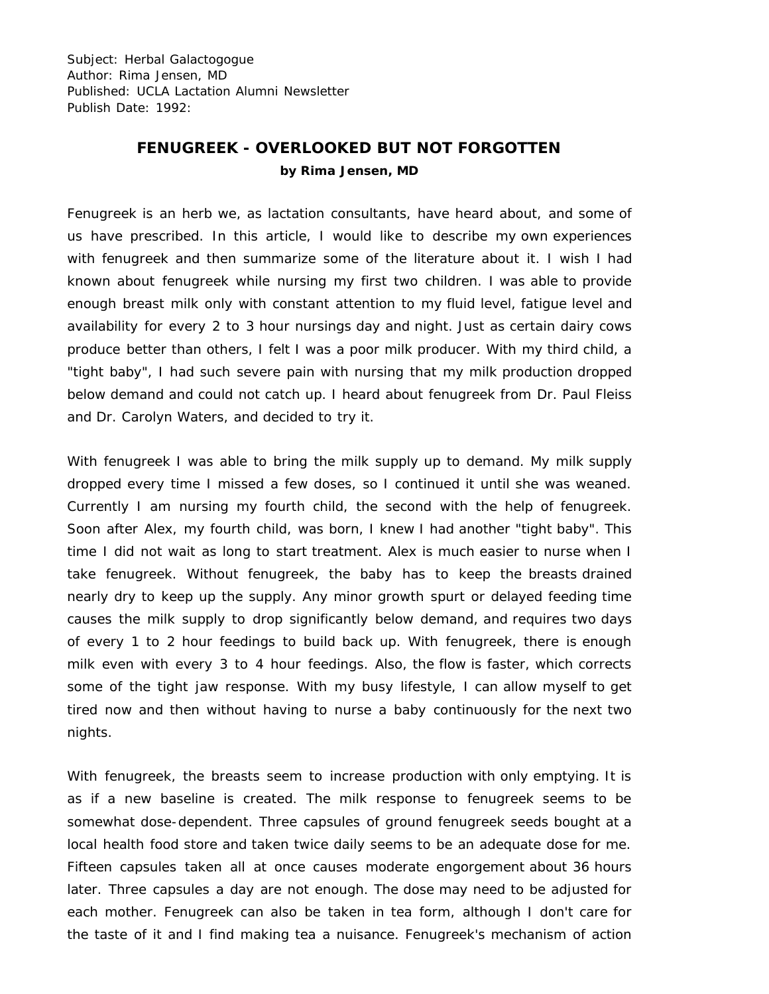Subject: Herbal Galactogogue Author: Rima Jensen, MD Published: UCLA Lactation Alumni Newsletter Publish Date: 1992:

## **FENUGREEK - OVERLOOKED BUT NOT FORGOTTEN by Rima Jensen, MD**

Fenugreek is an herb we, as lactation consultants, have heard about, and some of us have prescribed. In this article, I would like to describe my own experiences with fenugreek and then summarize some of the literature about it. I wish I had known about fenugreek while nursing my first two children. I was able to provide enough breast milk only with constant attention to my fluid level, fatigue level and availability for every 2 to 3 hour nursings day and night. Just as certain dairy cows produce better than others, I felt I was a poor milk producer. With my third child, a "tight baby", I had such severe pain with nursing that my milk production dropped below demand and could not catch up. I heard about fenugreek from Dr. Paul Fleiss and Dr. Carolyn Waters, and decided to try it.

With fenugreek I was able to bring the milk supply up to demand. My milk supply dropped every time I missed a few doses, so I continued it until she was weaned. Currently I am nursing my fourth child, the second with the help of fenugreek. Soon after Alex, my fourth child, was born, I knew I had another "tight baby". This time I did not wait as long to start treatment. Alex is much easier to nurse when I take fenugreek. Without fenugreek, the baby has to keep the breasts drained nearly dry to keep up the supply. Any minor growth spurt or delayed feeding time causes the milk supply to drop significantly below demand, and requires two days of every 1 to 2 hour feedings to build back up. With fenugreek, there is enough milk even with every 3 to 4 hour feedings. Also, the flow is faster, which corrects some of the tight jaw response. With my busy lifestyle, I can allow myself to get tired now and then without having to nurse a baby continuously for the next two nights.

With fenugreek, the breasts seem to increase production with only emptying. It is as if a new baseline is created. The milk response to fenugreek seems to be somewhat dose-dependent. Three capsules of ground fenugreek seeds bought at a local health food store and taken twice daily seems to be an adequate dose for me. Fifteen capsules taken all at once causes moderate engorgement about 36 hours later. Three capsules a day are not enough. The dose may need to be adjusted for each mother. Fenugreek can also be taken in tea form, although I don't care for the taste of it and I find making tea a nuisance. Fenugreek's mechanism of action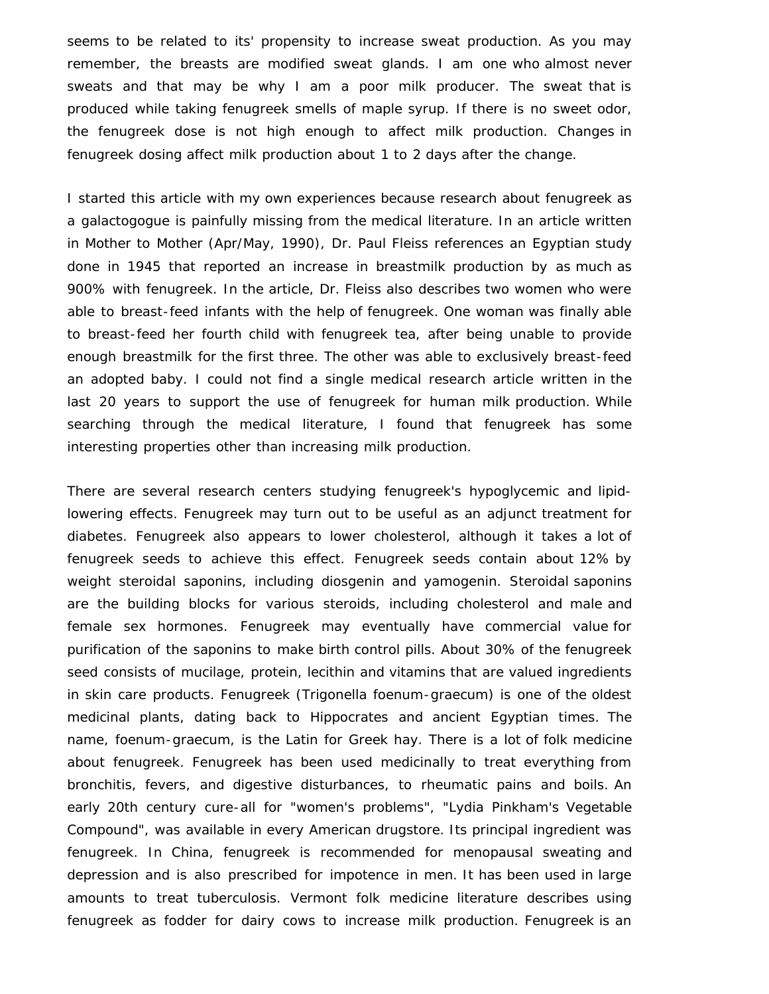seems to be related to its' propensity to increase sweat production. As you may remember, the breasts are modified sweat glands. I am one who almost never sweats and that may be why I am a poor milk producer. The sweat that is produced while taking fenugreek smells of maple syrup. If there is no sweet odor, the fenugreek dose is not high enough to affect milk production. Changes in fenugreek dosing affect milk production about 1 to 2 days after the change.

I started this article with my own experiences because research about fenugreek as a galactogogue is painfully missing from the medical literature. In an article written in Mother to Mother (Apr/May, 1990), Dr. Paul Fleiss references an Egyptian study done in 1945 that reported an increase in breastmilk production by as much as 900% with fenugreek. In the article, Dr. Fleiss also describes two women who were able to breast-feed infants with the help of fenugreek. One woman was finally able to breast-feed her fourth child with fenugreek tea, after being unable to provide enough breastmilk for the first three. The other was able to exclusively breast-feed an adopted baby. I could not find a single medical research article written in the last 20 years to support the use of fenugreek for human milk production. While searching through the medical literature, I found that fenugreek has some interesting properties other than increasing milk production.

There are several research centers studying fenugreek's hypoglycemic and lipidlowering effects. Fenugreek may turn out to be useful as an adjunct treatment for diabetes. Fenugreek also appears to lower cholesterol, although it takes a lot of fenugreek seeds to achieve this effect. Fenugreek seeds contain about 12% by weight steroidal saponins, including diosgenin and yamogenin. Steroidal saponins are the building blocks for various steroids, including cholesterol and male and female sex hormones. Fenugreek may eventually have commercial value for purification of the saponins to make birth control pills. About 30% of the fenugreek seed consists of mucilage, protein, lecithin and vitamins that are valued ingredients in skin care products. Fenugreek (Trigonella foenum-graecum) is one of the oldest medicinal plants, dating back to Hippocrates and ancient Egyptian times. The name, foenum-graecum, is the Latin for Greek hay. There is a lot of folk medicine about fenugreek. Fenugreek has been used medicinally to treat everything from bronchitis, fevers, and digestive disturbances, to rheumatic pains and boils. An early 20th century cure-all for "women's problems", "Lydia Pinkham's Vegetable Compound", was available in every American drugstore. Its principal ingredient was fenugreek. In China, fenugreek is recommended for menopausal sweating and depression and is also prescribed for impotence in men. It has been used in large amounts to treat tuberculosis. Vermont folk medicine literature describes using fenugreek as fodder for dairy cows to increase milk production. Fenugreek is an